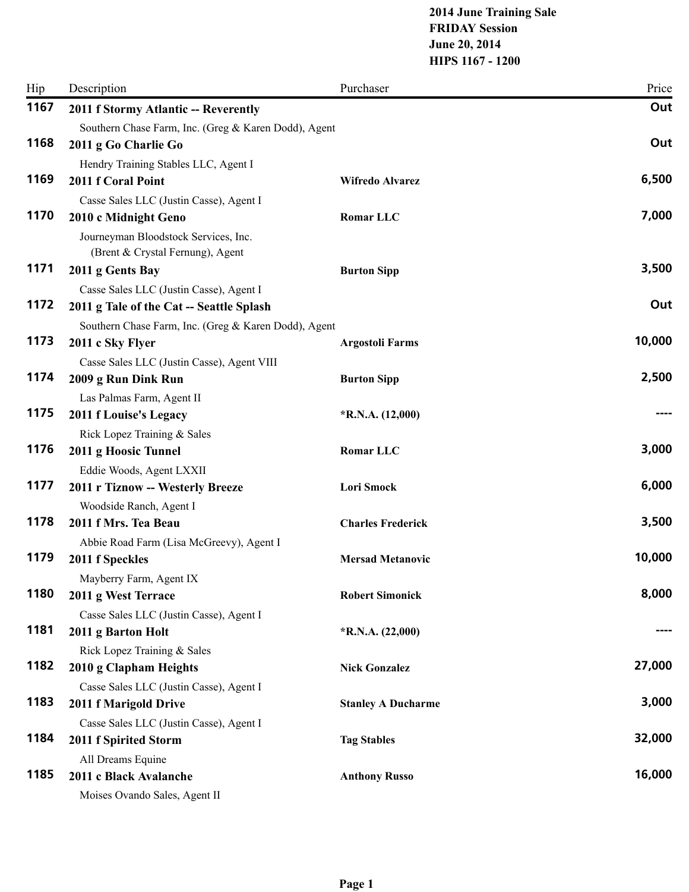## **2014 June Training Sale FRIDAY Session June 20, 2014 HIPS 1167 - 1200**

| Hip  | Description                                                | Purchaser                 | Price  |
|------|------------------------------------------------------------|---------------------------|--------|
| 1167 | 2011 f Stormy Atlantic -- Reverently                       |                           | Out    |
|      | Southern Chase Farm, Inc. (Greg & Karen Dodd), Agent       |                           |        |
| 1168 | 2011 g Go Charlie Go                                       |                           | Out    |
|      | Hendry Training Stables LLC, Agent I                       |                           |        |
| 1169 | 2011 f Coral Point                                         | Wifredo Alvarez           | 6,500  |
|      | Casse Sales LLC (Justin Casse), Agent I                    |                           |        |
| 1170 | 2010 c Midnight Geno                                       | Romar LLC                 | 7,000  |
|      | Journeyman Bloodstock Services, Inc.                       |                           |        |
|      | (Brent & Crystal Fernung), Agent                           |                           |        |
| 1171 | 2011 g Gents Bay                                           | <b>Burton Sipp</b>        | 3,500  |
| 1172 | Casse Sales LLC (Justin Casse), Agent I                    |                           | Out    |
|      | 2011 g Tale of the Cat -- Seattle Splash                   |                           |        |
| 1173 | Southern Chase Farm, Inc. (Greg & Karen Dodd), Agent       |                           | 10,000 |
|      | 2011 c Sky Flyer                                           | <b>Argostoli Farms</b>    |        |
| 1174 | Casse Sales LLC (Justin Casse), Agent VIII                 |                           | 2,500  |
|      | 2009 g Run Dink Run                                        | <b>Burton Sipp</b>        |        |
| 1175 | Las Palmas Farm, Agent II<br><b>2011 f Louise's Legacy</b> | $*R.N.A. (12,000)$        |        |
|      | Rick Lopez Training & Sales                                |                           |        |
| 1176 | 2011 g Hoosic Tunnel                                       | Romar LLC                 | 3,000  |
|      | Eddie Woods, Agent LXXII                                   |                           |        |
| 1177 | 2011 r Tiznow -- Westerly Breeze                           | Lori Smock                | 6,000  |
|      | Woodside Ranch, Agent I                                    |                           |        |
| 1178 | 2011 f Mrs. Tea Beau                                       | <b>Charles Frederick</b>  | 3,500  |
|      | Abbie Road Farm (Lisa McGreevy), Agent I                   |                           |        |
| 1179 | 2011 f Speckles                                            | <b>Mersad Metanovic</b>   | 10,000 |
|      | Mayberry Farm, Agent IX                                    |                           |        |
| 1180 | 2011 g West Terrace                                        | <b>Robert Simonick</b>    | 8,000  |
|      | Casse Sales LLC (Justin Casse), Agent I                    |                           |        |
| 1181 | 2011 g Barton Holt                                         | *R.N.A. (22,000)          |        |
|      | Rick Lopez Training & Sales                                |                           |        |
| 1182 | 2010 g Clapham Heights                                     | <b>Nick Gonzalez</b>      | 27,000 |
|      | Casse Sales LLC (Justin Casse), Agent I                    |                           |        |
| 1183 | 2011 f Marigold Drive                                      | <b>Stanley A Ducharme</b> | 3,000  |
|      | Casse Sales LLC (Justin Casse), Agent I                    |                           |        |
| 1184 | 2011 f Spirited Storm                                      | <b>Tag Stables</b>        | 32,000 |
|      | All Dreams Equine                                          |                           |        |
| 1185 | 2011 c Black Avalanche                                     | <b>Anthony Russo</b>      | 16,000 |
|      | Moises Ovando Sales, Agent II                              |                           |        |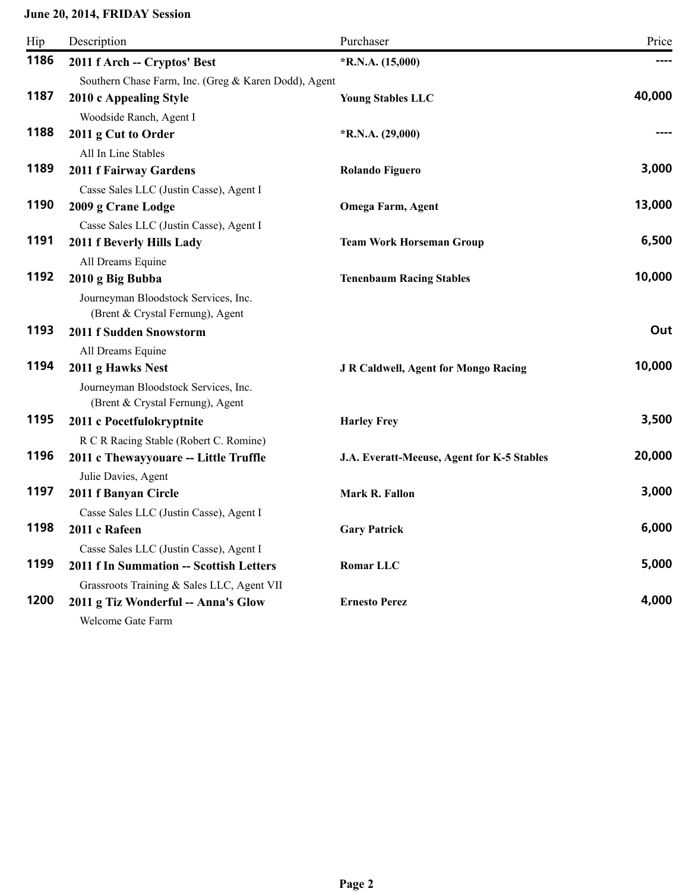## **June 20, 2014, FRIDAY Session**

| Hip  | Description                                          | Purchaser                                   | Price  |
|------|------------------------------------------------------|---------------------------------------------|--------|
| 1186 | 2011 f Arch -- Cryptos' Best                         | $*R.N.A. (15,000)$                          |        |
|      | Southern Chase Farm, Inc. (Greg & Karen Dodd), Agent |                                             |        |
| 1187 | 2010 c Appealing Style                               | <b>Young Stables LLC</b>                    | 40,000 |
|      | Woodside Ranch, Agent I                              |                                             |        |
| 1188 | 2011 g Cut to Order                                  | $*R.N.A. (29,000)$                          |        |
|      | All In Line Stables                                  |                                             |        |
| 1189 | <b>2011 f Fairway Gardens</b>                        | <b>Rolando Figuero</b>                      | 3,000  |
|      | Casse Sales LLC (Justin Casse), Agent I              |                                             |        |
| 1190 | 2009 g Crane Lodge                                   | <b>Omega Farm, Agent</b>                    | 13,000 |
|      | Casse Sales LLC (Justin Casse), Agent I              |                                             |        |
| 1191 | 2011 f Beverly Hills Lady                            | <b>Team Work Horseman Group</b>             | 6,500  |
|      | All Dreams Equine                                    |                                             |        |
| 1192 | 2010 g Big Bubba                                     | <b>Tenenbaum Racing Stables</b>             | 10,000 |
|      | Journeyman Bloodstock Services, Inc.                 |                                             |        |
|      | (Brent & Crystal Fernung), Agent                     |                                             |        |
| 1193 | 2011 f Sudden Snowstorm                              |                                             | Out    |
|      | All Dreams Equine                                    |                                             |        |
| 1194 | 2011 g Hawks Nest                                    | <b>J R Caldwell, Agent for Mongo Racing</b> | 10,000 |
|      | Journeyman Bloodstock Services, Inc.                 |                                             |        |
|      | (Brent & Crystal Fernung), Agent                     |                                             |        |
| 1195 | 2011 c Pocetfulokryptnite                            | <b>Harley Frey</b>                          | 3,500  |
|      | R C R Racing Stable (Robert C. Romine)               |                                             |        |
| 1196 | 2011 c Thewayyouare -- Little Truffle                | J.A. Everatt-Meeuse, Agent for K-5 Stables  | 20,000 |
|      | Julie Davies, Agent                                  |                                             |        |
| 1197 | 2011 f Banyan Circle                                 | Mark R. Fallon                              | 3,000  |
|      | Casse Sales LLC (Justin Casse), Agent I              |                                             |        |
| 1198 | 2011 c Rafeen                                        | <b>Gary Patrick</b>                         | 6,000  |
|      | Casse Sales LLC (Justin Casse), Agent I              |                                             |        |
| 1199 | 2011 f In Summation -- Scottish Letters              | Romar LLC                                   | 5,000  |
|      | Grassroots Training & Sales LLC, Agent VII           |                                             |        |
| 1200 | 2011 g Tiz Wonderful -- Anna's Glow                  | <b>Ernesto Perez</b>                        | 4,000  |
|      | Welcome Gate Farm                                    |                                             |        |